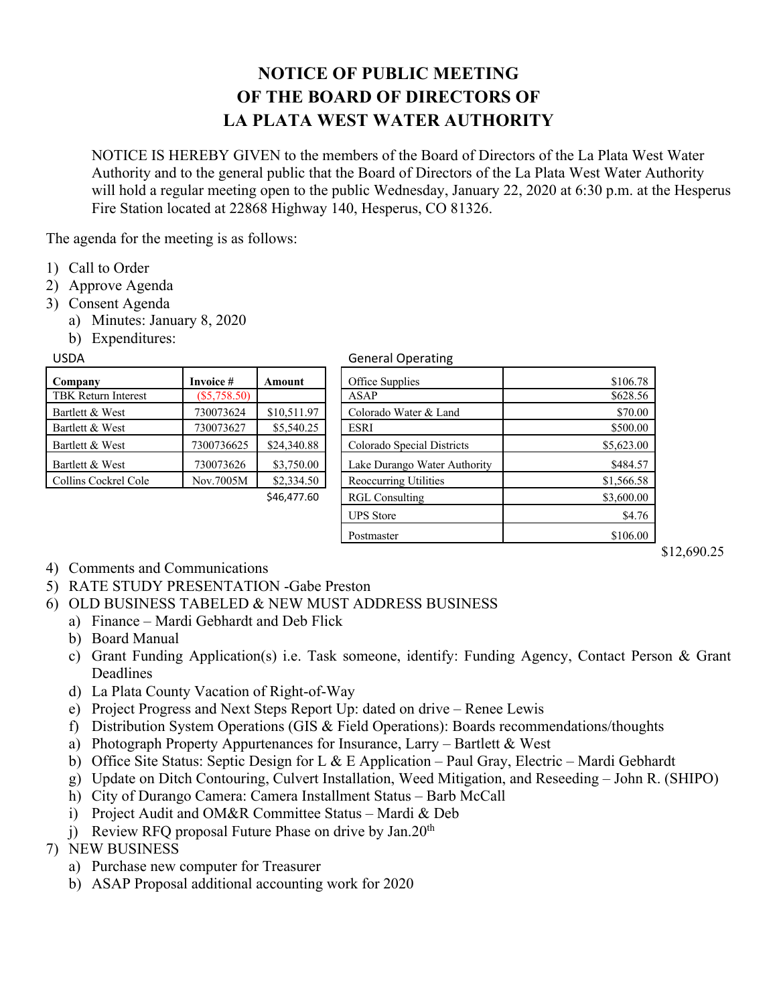## **NOTICE OF PUBLIC MEETING OF THE BOARD OF DIRECTORS OF LA PLATA WEST WATER AUTHORITY**

NOTICE IS HEREBY GIVEN to the members of the Board of Directors of the La Plata West Water Authority and to the general public that the Board of Directors of the La Plata West Water Authority will hold a regular meeting open to the public Wednesday, January 22, 2020 at 6:30 p.m. at the Hesperus Fire Station located at 22868 Highway 140, Hesperus, CO 81326.

The agenda for the meeting is as follows:

- 1) Call to Order
- 2) Approve Agenda
- 3) Consent Agenda
	- a) Minutes: January 8, 2020
	- b) Expenditures:

| Company                    | Invoice #      | Amount                       |
|----------------------------|----------------|------------------------------|
| <b>TBK Return Interest</b> | $(\$5,758.50)$ |                              |
| Bartlett & West            | 730073624      | \$10,511.97                  |
| Bartlett & West            | 730073627      | \$5,540.25                   |
| Bartlett & West            | 7300736625     | \$24,340.88                  |
| Bartlett & West            | 730073626      | \$3,750.00                   |
| Collins Cockrel Cole       | Nov.7005M      | \$2,334.50                   |
|                            |                | $C$ $AC$ $A$ $D$ $D$ $C$ $O$ |

## USDA General Operating

| Company              | Invoice #      | Amount      | Office Supplies              | \$106.78   |
|----------------------|----------------|-------------|------------------------------|------------|
| TBK Return Interest  | $(\$5,758.50)$ |             | ASAP                         | \$628.56   |
| Bartlett & West      | 730073624      | \$10,511.97 | Colorado Water & Land        | \$70.00    |
| Bartlett & West      | 730073627      | \$5,540.25  | ESRI                         | \$500.00   |
| Bartlett & West      | 7300736625     | \$24,340.88 | Colorado Special Districts   | \$5,623.00 |
| Bartlett & West      | 730073626      | \$3,750.00  | Lake Durango Water Authority | \$484.57   |
| Collins Cockrel Cole | Nov.7005M      | \$2,334.50  | Reoccurring Utilities        | \$1,566.58 |
|                      |                | \$46,477.60 | <b>RGL Consulting</b>        | \$3,600.00 |
|                      |                |             | <b>UPS</b> Store             | \$4.76     |
|                      |                |             | Postmaster                   | \$106.00   |

\$12,690.25

- 4) Comments and Communications
- 5) RATE STUDY PRESENTATION -Gabe Preston
- 6) OLD BUSINESS TABELED & NEW MUST ADDRESS BUSINESS
	- a) Finance Mardi Gebhardt and Deb Flick
		- b) Board Manual
		- c) Grant Funding Application(s) i.e. Task someone, identify: Funding Agency, Contact Person & Grant Deadlines
		- d) La Plata County Vacation of Right-of-Way
		- e) Project Progress and Next Steps Report Up: dated on drive Renee Lewis
		- f) Distribution System Operations (GIS & Field Operations): Boards recommendations/thoughts
		- a) Photograph Property Appurtenances for Insurance, Larry Bartlett & West
		- b) Office Site Status: Septic Design for L & E Application Paul Gray, Electric Mardi Gebhardt
		- g) Update on Ditch Contouring, Culvert Installation, Weed Mitigation, and Reseeding John R. (SHIPO)
		- h) City of Durango Camera: Camera Installment Status Barb McCall
		- i) Project Audit and OM&R Committee Status Mardi & Deb
		- j) Review RFQ proposal Future Phase on drive by Jan.20<sup>th</sup>
- 7) NEW BUSINESS
	- a) Purchase new computer for Treasurer
	- b) ASAP Proposal additional accounting work for 2020